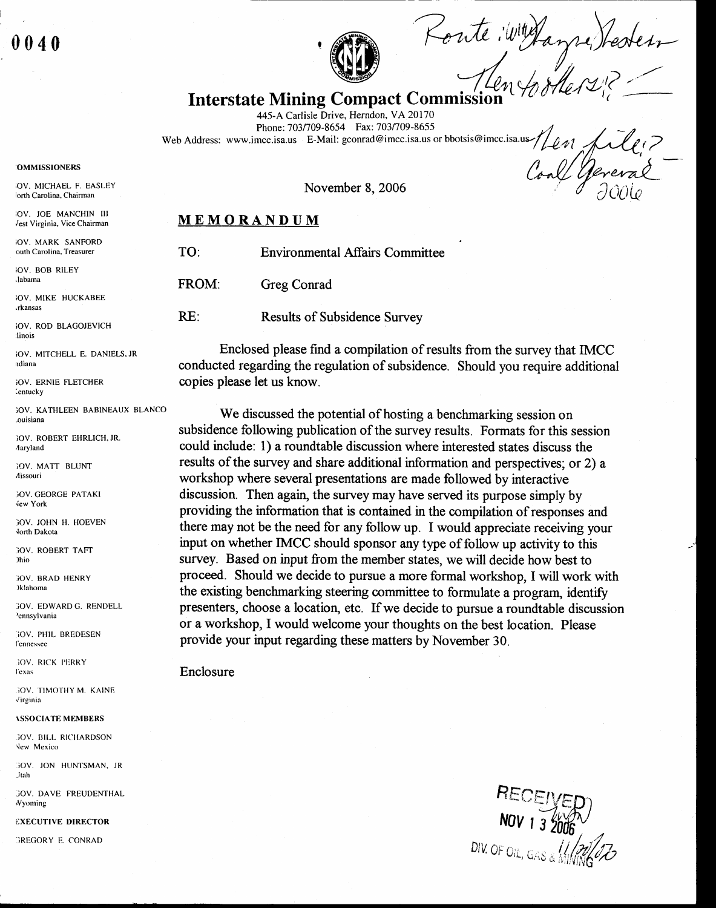0040



Konte il

# **Interstate Mining Compact Comparent**

445-A Carlisle Drive, Herndon, VA 20170 Phone: 703/709-8654 Fax: 703/709-8655 Web Address: www.imcc.isa.us E-Mail: gconrad@imcc.isa.us or bbotsis@imcc.isa.us

**COMMISSIONERS** 

**OV, MICHAEL F. EASLEY** Jorth Carolina, Chairman

**iOV. JOE MANCHIN III** Vest Virginia, Vice Chairman

**iOV. MARK SANFORD** outh Carolina, Treasurer

**iOV. BOB RILEY Jabama** 

**iOV. MIKE HUCKABEE** rkansas

**JOV. ROD BLAGOJEVICH linois** 

**iOV.** MITCHELL E. DANIELS, JR adiana

**JOV. ERNIE FLETCHER** .entucky

**JOV. KATHLEEN BABINEAUX BLANCO** ouisiana

**JOV. ROBERT EHRLICH, JR. Aaryland** 

**JOV. MATT BLUNT Aissouri** 

**JOV. GEORGE PATAKI Vew York** 

**GOV JOHN H. HOEVEN** Jorth Dakota

**TOV. ROBERT TAFT Thio** 

**JOV. BRAD HENRY Iklahoma** 

**JOV. EDWARD G. RENDELL** <sup>2</sup>ennsylvania

**JOV. PHIL BREDESEN** fennessee

**JOV. RICK PERRY** Texas

JOV. TIMOTHY M. KAINE Virginia

#### **ASSOCIATE MEMBERS**

**JOV. BILL RICHARDSON New Mexico** 

**GOV. JON HUNTSMAN, JR** Jtah

**GOV. DAVE FREUDENTHAL** Wyoming

**EXECUTIVE DIRECTOR** 

**GREGORY E. CONRAD** 

November 8, 2006

#### MEMORANDUM

TO: **Environmental Affairs Committee** 

FROM: Greg Conrad

 $RE:$ **Results of Subsidence Survey** 

Enclosed please find a compilation of results from the survey that IMCC conducted regarding the regulation of subsidence. Should you require additional copies please let us know.

We discussed the potential of hosting a benchmarking session on subsidence following publication of the survey results. Formats for this session could include: 1) a roundtable discussion where interested states discuss the results of the survey and share additional information and perspectives; or 2) a workshop where several presentations are made followed by interactive discussion. Then again, the survey may have served its purpose simply by providing the information that is contained in the compilation of responses and there may not be the need for any follow up. I would appreciate receiving your input on whether IMCC should sponsor any type of follow up activity to this survey. Based on input from the member states, we will decide how best to proceed. Should we decide to pursue a more formal workshop, I will work with the existing benchmarking steering committee to formulate a program, identify presenters, choose a location, etc. If we decide to pursue a roundtable discussion or a workshop, I would welcome your thoughts on the best location. Please provide your input regarding these matters by November 30.

Enclosure

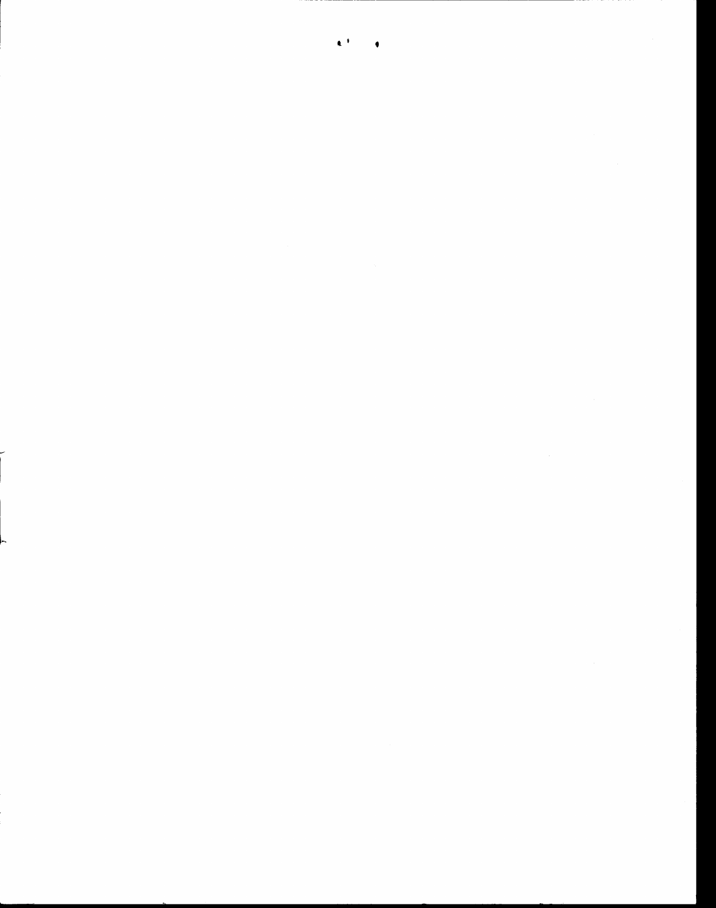$\mathbf{C}^{\mathrm{H}}(\mathbf{C})=\mathbf{C}^{\mathrm{H}}(\mathbf{C})$ 

ĭ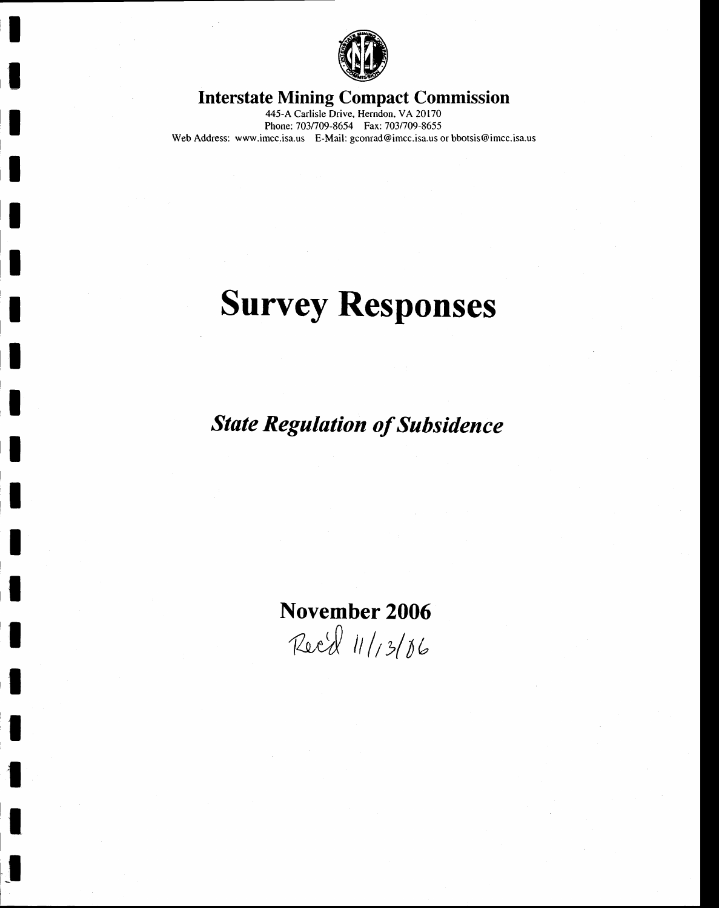

# Interstate Mining Compact Commission

445-A Carlisle Drive, Herndon, VA 20170 Phone: 703/709-8654 Fax: 703/709-8655 Web Address: www.imcc.isa.us E-Mail: gconrad@imcc.isa.us or bbotsis@imcc.isa.us

# Survey Responses

I

I

t

 $\blacksquare$ 

I

I

I

I

t

I

I

T

I

I

I

I

i<br>I

I

I

I

State Regulution of Subsidence

November 2006 Rec<sup>{</sup> 11/13/86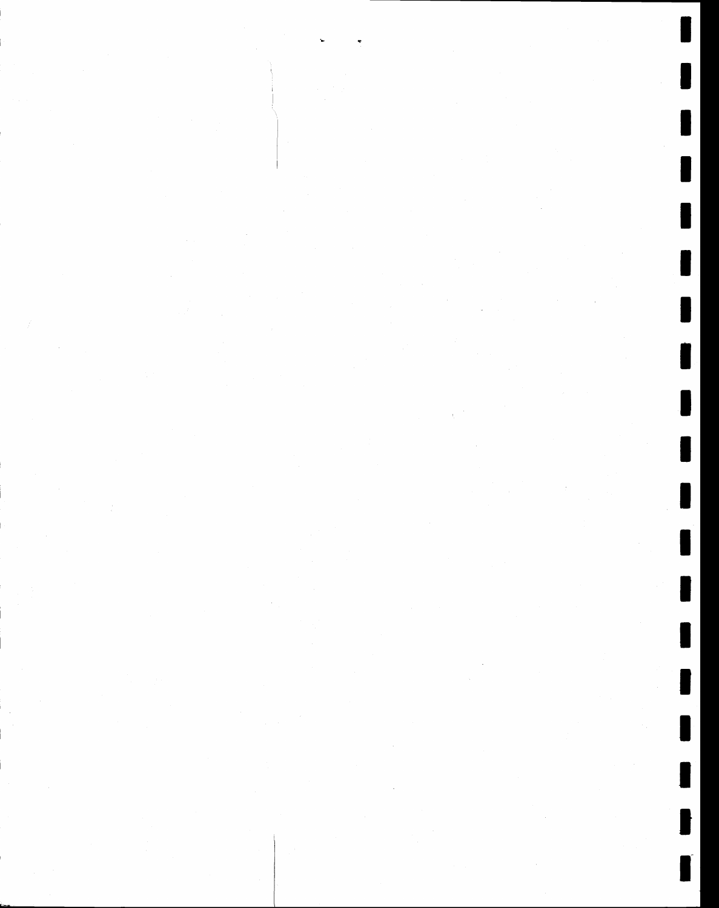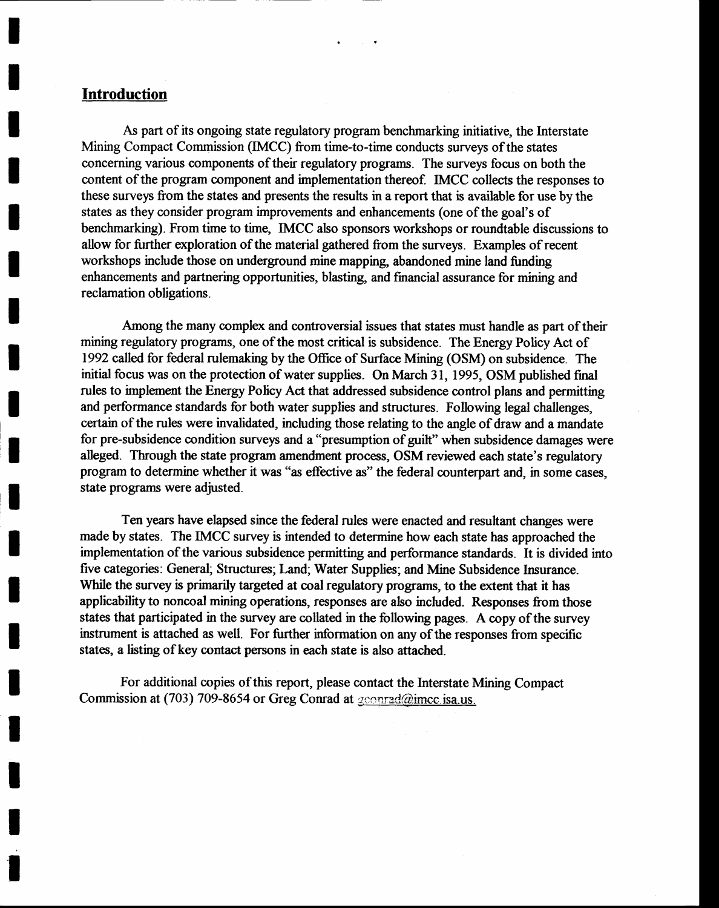# Introduction

t

I

I

I

I

I

I

I

I

t

I

I

t

I

I

I

I

I

I

As part of its ongoing state regulatory program benchmarking initiative, the Interstate Mining Compact Commission (IMCC) from time-to-time conducts surveys of the states concerning various components of their regulatory programs. The surveys focus on both the content of the program component and implementation thereof. IMCC collects the responses to these surveys from the states and presents the resuhs in a report that is available for use by the states as they consider program improvements and enhancements (one of the goal's of benchmarking). From time to time, IMCC also sponsors workshops or roundtable discussions to allow for further exploration of the material gathered from the surveys. Examples of recent workshops include those on underground mine mapping abandoned mine land funding enhancements and partnering opportunities, blasting, and financial assurance for mining and reclamation obligations.

Among the many complex and controversial issues that states must handle as part of their mining regulatory programs, one of the most critical is subsidence. The Energy Policy Act of 1992 called for federal rulemaking by the Office of Surface Mining (OSM) on subsidence. The initial focus was on the protection of water supplies. On March 31, 1995, OSM published final rules to implement the Energy Policy Act that addressed subsidence control plans and permitting and perfonnance standards for both water supplies and structures. Following legal challenges, certain of the rules were invalidated, including those relating to the angle of draw and a mandate for pre-subsidence condition surveys and a "presumption of guih" when subsidence damages were alleged. Through the state program amendment process, OSM reviewed each state's regulatory program to determine whether it was "as effective as" the federal counterpart and, in some cases, state programs were adjusted.

Ten years have elapsed since the federal rules were enacted and resuhant changes were made by states. The IMCC survey is intended to determine how each state has approached the implementation of the various subsidence permitting and performance standards. It is divided into five categories: General; Structures; Land; Water Supplies; and Mine Subsidence lnsurance. While the survey is primarily targeted at coal regulatory programs, to the extent that it has applicability to noncoal mining operations, responses are also incfuded. Responses from those states that participated in the survey are collated in the following pages. A copy of the survey instrurnent is attached as well. For further information on any of the responses from specific states, a listing of key contact persons in each state is also attached.

For additional copies of this report, please contact the Interstate Mining Compact Commission at (703) 709-8654 or Greg Conrad at  $\alpha$ conrad@imcc.isa.us.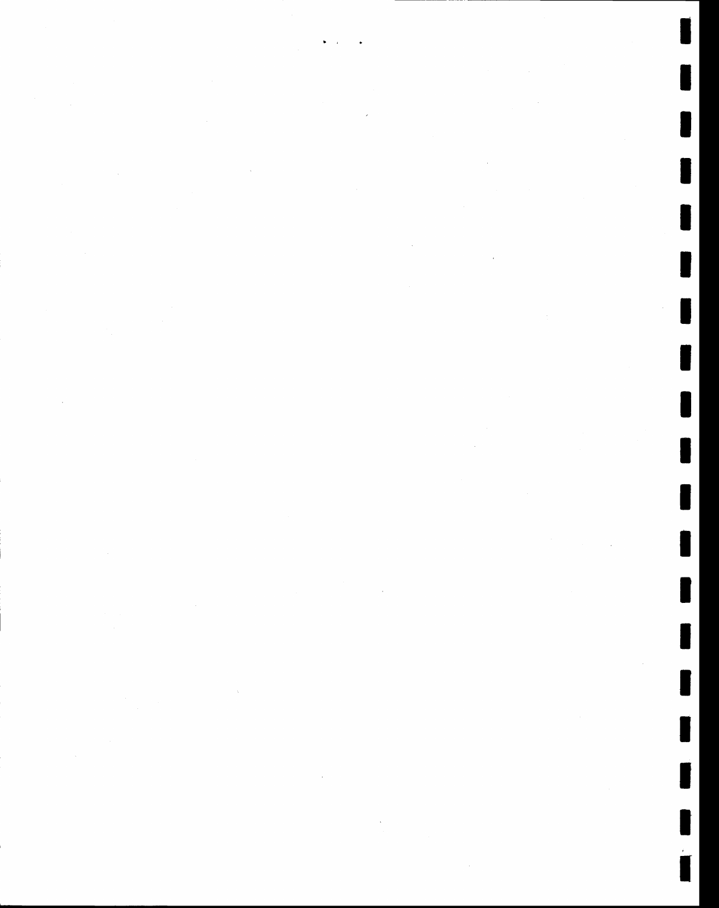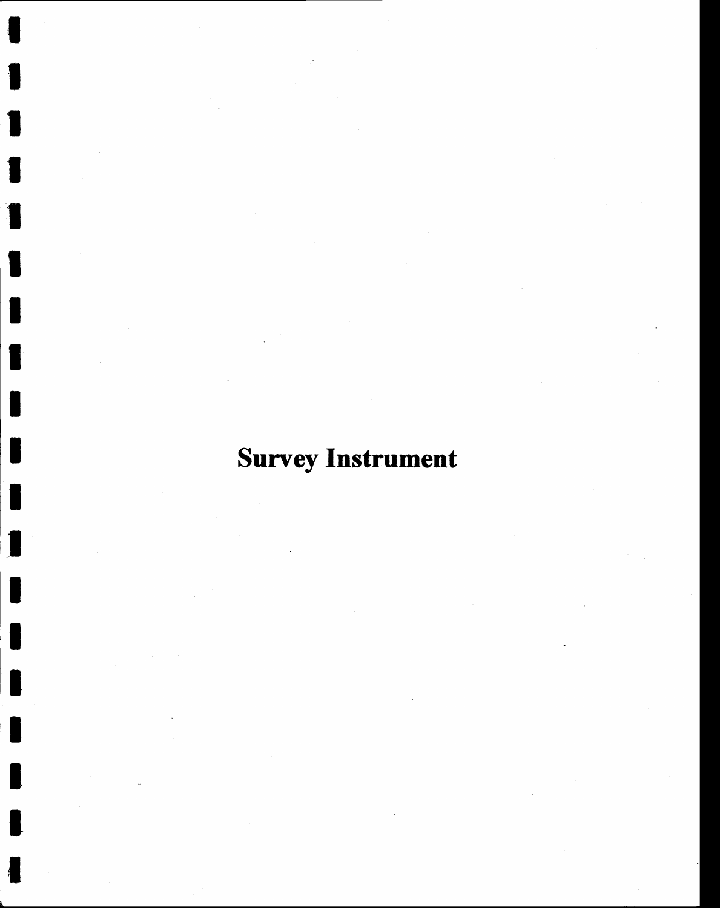# **Survey Instrument**

a k

J

ı

П

 $\blacksquare$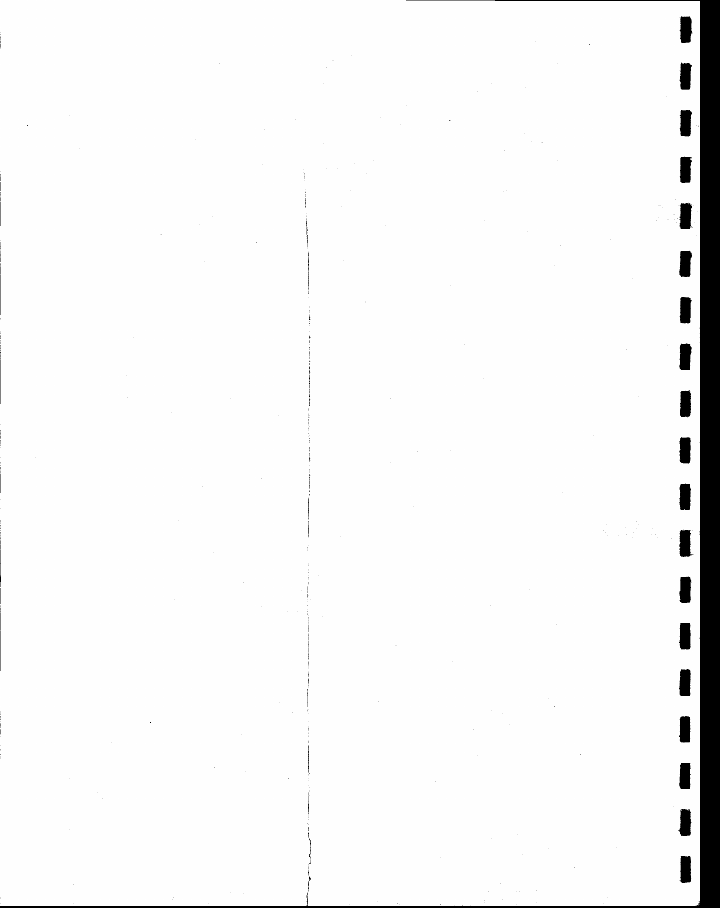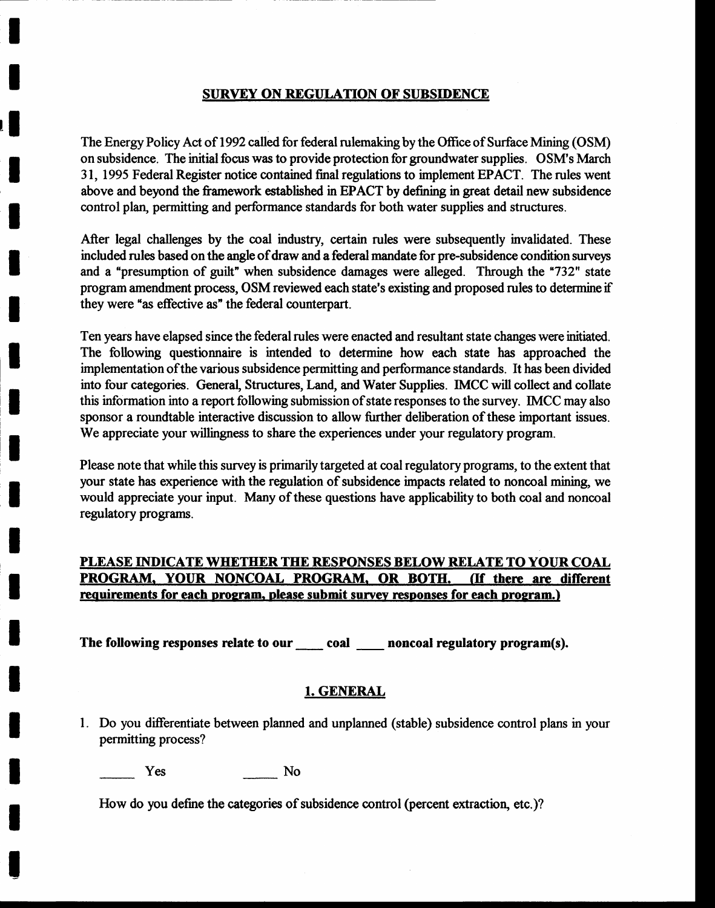#### SURVEY ON REGULATION OF SUBSIDENCE

The Energy Policy Act of 1992 called for federal rulemaking by the Office of Surface Mining (OSM) on subsidence. The initial focus was to provide protection for groundwater supplies. OSM's March 31, 1995 Federal Register notice contained final regulations to implement EPACT. The rules went above and beyond the framework established in EPACT by defining in great detail new subsidence control plan, permitting and performance standards for both water supplies and structures.

After legal challenges by the coal industry, certain rules were subsequently invalidated. These included rules based on the angle of draw and a federal mandate for pre-subsidence condition surveys and a "presumption of guih" when subsidence damages were alleged. Through the "732" state program amendment process, OSM reviewed each state's existing and proposed rules to determine if they were "as effective as" the federal counterpart.

Ten years have elapsed since the federal rules were enacted and resultant state changes were initiated. The following questionnaire is intended to determine how each state has approached the implementation of the various subsidence permitting and performance standards. It has been divided into four categories. General, Structures, Land, and Water Supplies. IMCC will collect and collate this information into a report following submission of state responses to the survey. IMCC may also sponsor a roundtable interactive discussion to allow further deliberation of these important issues. We appreciate your willingness to share the experiences under your regulatory program.

Please note that while this survey is primarily targeted at coal regulatory programs, to the extent that your state has experience with the regulation of subsidence impacts related to noncoal mining, we would appreciate your input. Many of these questions have applicability to both coal and noncoal regulatory programs.

## PLEASE INDICATE WHETHER THE RESPONSES BELOW RELATE TO YOUR COAL PROGRAM. YOUR NONCOAL PROGRAM, OR BOTH. (If there are different requirements for each program, please submit survey responses for each program.)

The following responses relate to our coal noncoal regulatory program(s).

### I. GENERAL

l. Do you differentiate between planned and unplanned (stable) subsidence control plans in your permitting process?

No Yes

I

I

I

I

T

I

I

I

I

I

I

I

I

I

I

I

I

I

T

How do you define the categories of subsidence control (percent extraction, etc.)?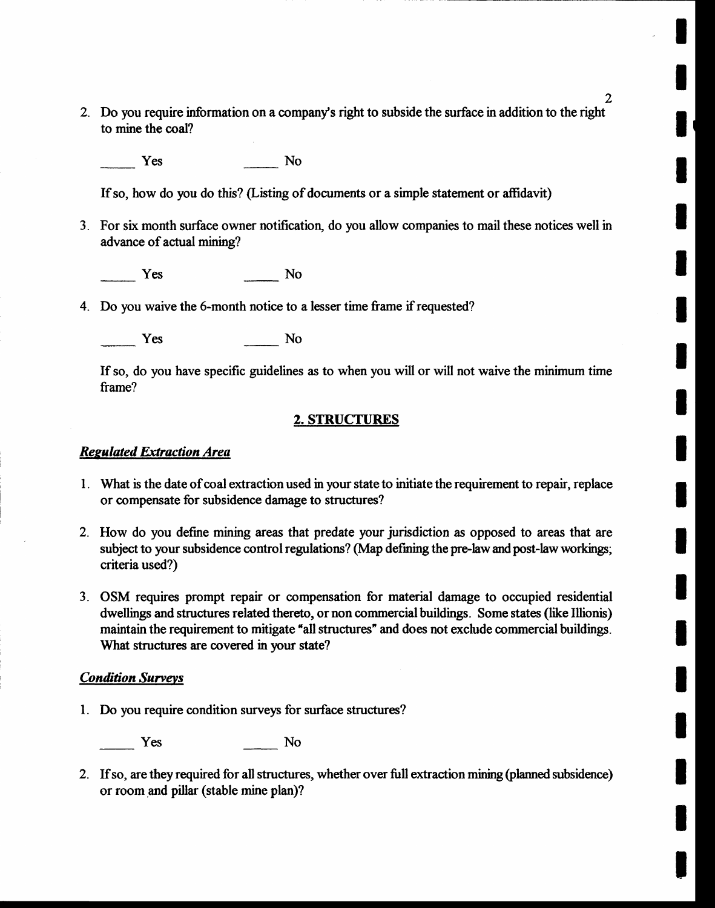2. Do you require information on a company's right to subside the surface in addition to the right to mine the coal?

I

I

 $\overline{2}$ 

I

I

I

I

I

I

I

I

I

I

I

I

I

I

I

I

I

No **Solution** Yes

If so, how do you do this? (Listing of documents or a simple statement or affidavit)

3. For six month surface owner notification, do you allow companies to mail these notices well in advance of actual mining?

Yes No

4. Do you waive the 6-month notice to a lesser time frame if requested?

Yes No

If so, do you have specific guidelines as to when you will or will not waive the minimum time frame?

#### 2. STRUCTURES

#### **Regulated Extraction Area**

- 1. What is the date of coal extraction used in your state to initiate the requirement to repair, replace or compensate for subsidence damage to structures?
- 2. How do you define mining areas that predate your jurisdiction as opposed to areas that are subject to your subsidence control regulations? (Map defining the pre-law and post-law workings; criteria used?)
- 3. OSM requires prompt repair or compensation for material damage to occupied residential dwellings and structures related thereto, or non commercial buildings. Some states (like Illionis) maintain the requirement to mitigate "all structures" and does not exclude commercial buildings. What structures are covered in your state?

#### **Condition Surveys**

1. Do you require condition surveys for surface structures?

Yes  $\overline{\phantom{a}}$  No

2. If so, are they required for all structures, whether over full extraction mining (planned subsidence) or room.and pillar (stable mine plan)?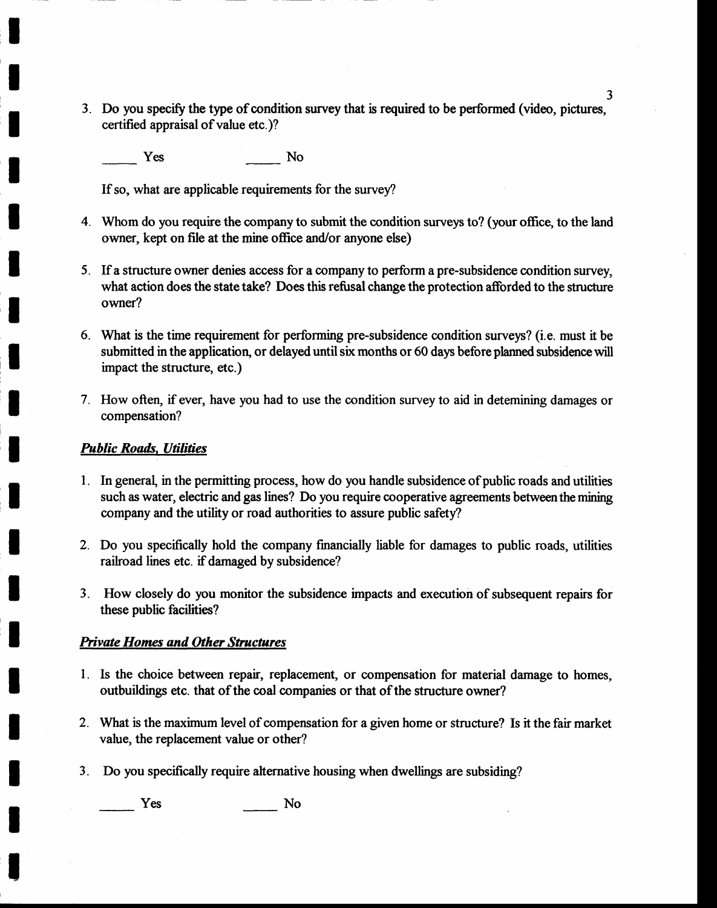3. Do you specify the type of condition survey that is required to be performed (video, pictures, certified appraisal of value etc.)?

Yes No

If so, what are applicable requirements for the survey?

- 4. Whom do you require the company to submit the condition surveys to? (your ofiice, to the land owner, kept on file at the mine office and/or anyone else)
- 5. If a structure owner denies access for a company to perform a pre-subsidence condition survey, what action does the state take? Does this refusal change the protection afforded to the structure owner?
- 6. What is the time requirement for performing pre-subsidence condition surveys? (i.e. must it be submitted in the application, or delayed until six months or 60 days before planned subsidence will impact the structure, etc.)
- 7 . How often, if ever, have you had to use the condition survey to aid in detemining darnages or compensation?

#### Public Roads, Utilities

I

I

I

I

I

I

I

I

t

I

I

t

I

I

I

I

I

I

I

- 1. In general, in the permitting process, how do you handle subsidence of public roads and utilities such as water, electric and gas lines? Do you require cooperative agreements between the mining company and the utility or road authorities to assure public safety?
- 2. Do you specifically hold the company fmancially liable for damages to public roads, utilities railroad lines etc. if damaged by subsidence?
- 3. How closely do you monitor the subsidence impacts and execution of subsequent repairs for these public facilities?

#### **Private Homes and Other Structures**

- l. Is the choice between repar, replacement, or compensation for material damage to homes, outbuildings etc. that of the coal companies or that of the structure owner?
- 2. What is the maximum level of compensation for a given home or structure? Is it the fair market value, the replacement value or other?
- 3. Do you specifically require ahernative housing when dwellings are subsiding?

YesNo  $\mathbf{3}$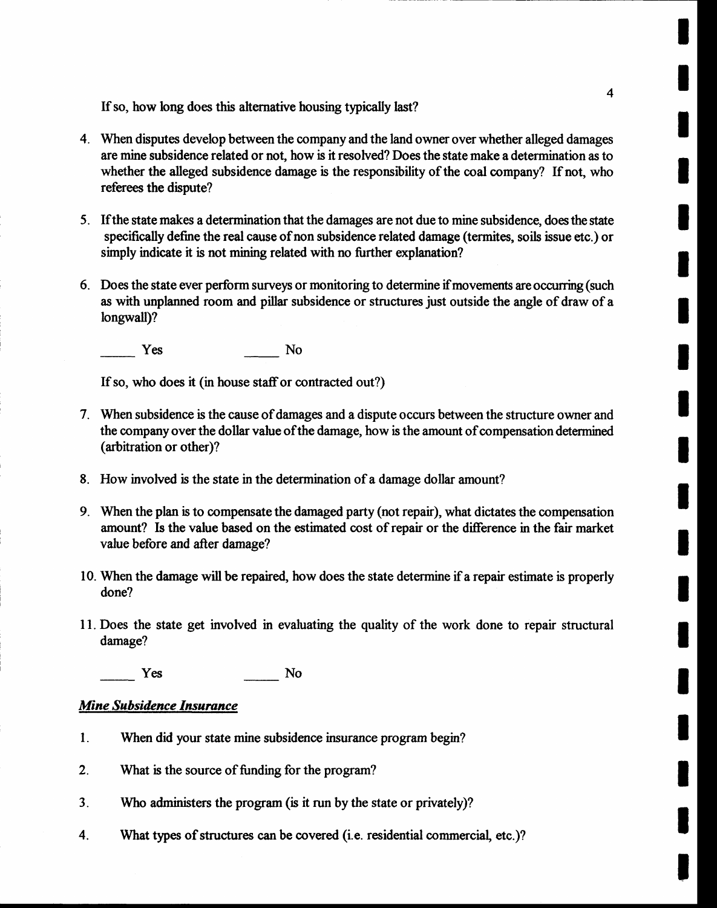If so, how long does this alternative housing typically last?

- 4. When disputes develop between the company and the land owner over whether alleged damages are mine subsidence related or not, how is it resohed? Does the state make a determination as to whether the alleged subsidence damage is the responsibility of the coal company? If not, who referees the dispute?
- 5. Ifthe state makes a determination that the damages are not due to mine subsidencg does the state specifically define the real cause of non subsidence related damage (termites, soils issue etc.) or simply indicate it is not mining related with no further explanation?
- 6. Does the state ever perform surveys or monitoring to determine if movements are occurring (such as with unplanned room and pillar subsidence or structures just outside the angle of draw of a longwall)?

Yes No

If so, who does it (in house staff or contracted out?)

- 7. When subsidence is the cause of damages and a dispute occurs between the structure owner and the company over the dollar value of the damage, how is the amount of compensation determined (arbitration or other)?
- 8. How involved is the state in the determination of a damage dollar amount?
- 9. When the plan is to compensate the damaged party (not repair), what dictates the compensation amount? Is the value based on the estimated cost of repair or the difference in the fair market value before and after damage?
- 10. When the damage will be repaired, how does the state determine if a repair estimate is properly done?
- 11. Does the state get involved in evaluating the quality of the work done to repair structural damage?

Yes No

### Mine Subsidence Insurance

- l. When did your state mine subsidence insurance program begin?
- 2. What is the source of funding for the program?
- 3. Who administers the program (is it run by the state or privately)?
- 4. What types of structures can be covered (i.e. residential commercial, etc.)?

I

I

I

I

I

I

I

t

I

I

I

t

I

I

l

I

I

I

I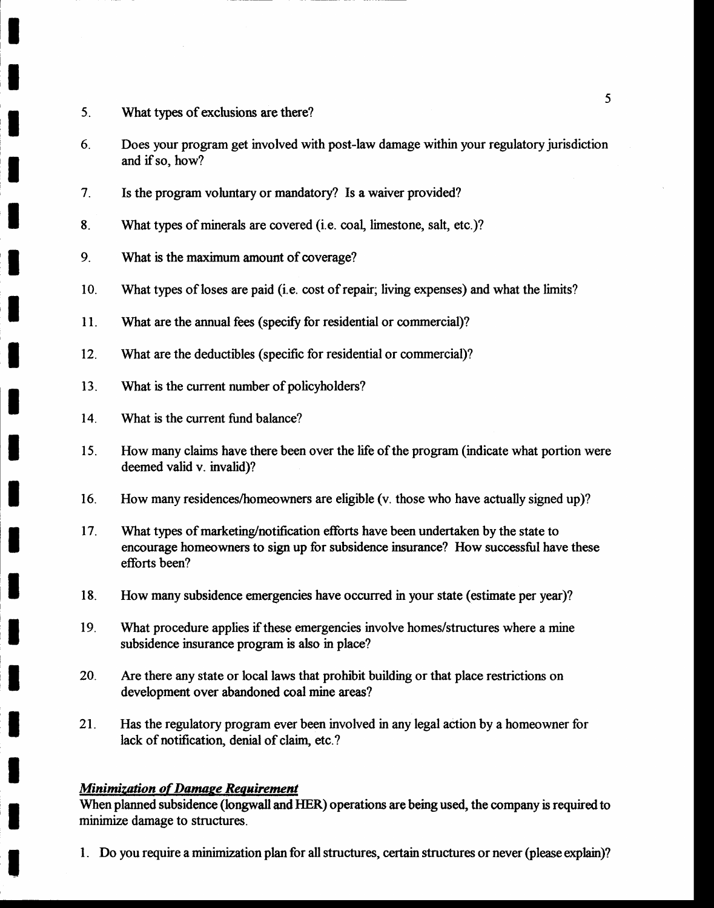5. What types of exclusions are there?

I

I

I

t

I

I

I

I

I

t

I

I

I

I

I

t

I

I

t

- 6. Does your program get involved with post-law damage within your regulatory jurisdiction and if so, how?
- 7. Is the program voluntary or mandatory? Is a waiver provided?
- 8. What types of minerals are covered (i.e. coal, limestone, salt, etc.)?
- 9. What is the maximum amount of coverage?
- 10. What types of loses are paid (i.e. cost of repair; living expenses) and what the limits?
- ll. What are the annual fees (specify for residential or commercial)?
- 12. What are the deductibles (specific for residential or commercial)?
- 13. What is the current number of policyholders?
- t4. What is the current fund balance?
- 15. How many claims have there been over the life of the program (indicate what portion were deemed valid v. invalid)?
- 16. How many residences/homeowners are eligible (v. those who have actually signed up)?
- 17. What types of marketing/notification efforts have been undertaken by the state to encourage homeowners to sign up for subsidence insurance? How successful have these efforts been?
- 18. How many subsidence emergencies have occurred in your state (estimate per year)?
- 19. What procedure applies if these emergencies involve homes/structures where a mine subsidence insurance program is also in place?
- 20. Are there any state or local laws that prohibit building or that place restrictions on development over abandoned coal mine areas?
- Has the regulatory program ever been involved in any legal action by a homeowner for lack of notification, denial of claim, etc.? 21.

#### Minimization of Damage Requirement

When planned subsidence (longwall and HER) operations are being used, the company is required to minimize damage to structures.

l. Do you require a minimization plan for all structures, certain strustures or never (please explain)?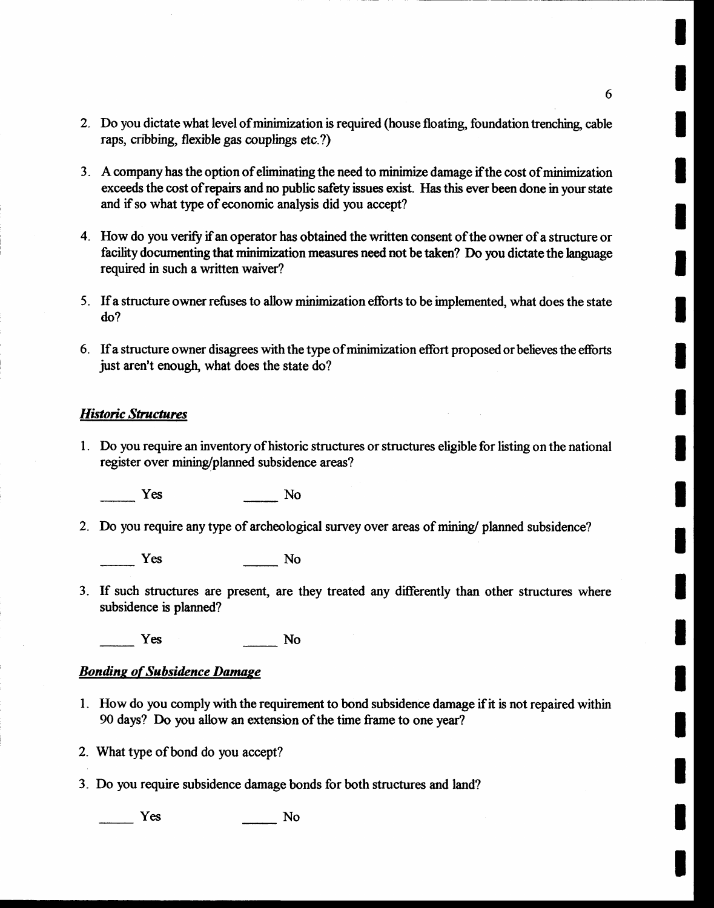- 2. Do you dictate what level of minimization is required (house floating, foundation trenching, cable raps, cribbing, flexible gas couplings etc.?)
- 3. A company has the option of eliminating the need to minimize damage if the cost of minimization exceeds the cost of repairs and no public safety issues exist. Has this ever been done in your state and if so what type of economic analysis did you accept?
- 4. How do you verify if an operator has obtained the written consent of the owner of a structure or facility documenting that minimization measures need not be taken? Do you dictate the language required in such a written waiver?
- 5. If a structure owner refuses to allow minimization efforts to be implemented, what does the state do?
- 6. Ifa structure owner disagrees with the type of minimuationeffort proposed or believes the efforts just aren't enough, what does the state do?

#### Historic Structures

l. Do you require an inventory ofhistoric structures or structures eligible for listing on the national register over mining/planned subsidence areas?

Yes No

2. Do you require any type of archeological survey over areas of mining/ planned subsidence?

Yes No

3. If such structures are present, are they treated any differently than other structures where subsidence is planned?

Yes No

#### **Bonding of Subsidence Damage**

- l. How do you comply with the requirement to bond subsidence damage if it is not repaired within 90 days? Do you allow an extension of the time frame to one year?
- 2. What type of bond do you accept?
- 3, Do you require subsidence damage bonds for both structures and land?

Yes**No**  I

I

I

I

I

I

I

I

I

I

I

t

I

I

I

I

I

I

I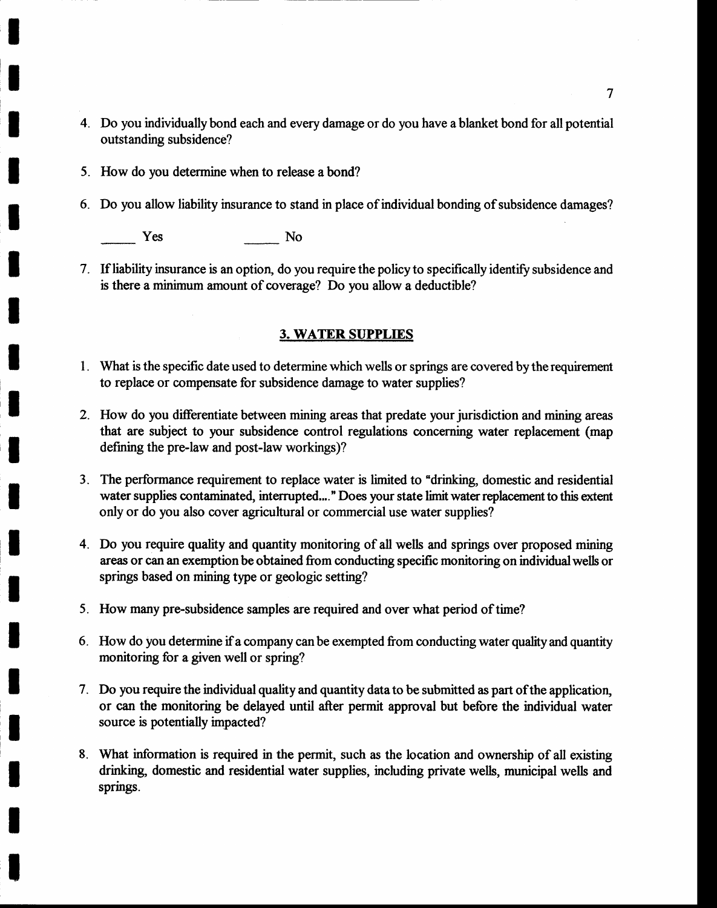- 4. Do you individually bond each and every damage or do you have a blanket bond for all potential outstanding subsidence?
- 5. How do you determine when to release a bond?
- 6. Do you allow liability insurance to stand in place of individual bonding of subsidence damages?

Yes No

t

I

I

I

I

I

I

I

I

I

I

I

I

I

I

t

I

t

t

7. If liability insurance is an option, do you require the policy to specifically identify subsidence and is there a minimum amount of coverage? Do you allow a deductible?

#### 3. WATER SUPPLIES

- 1. What is the specific date used to determine which wells or springs are covered by the requirement to replace or compensate for subsidence damage to water supplies?
- 2. How do you differentiate between mining areas that predate your jurisdiction and mining areas that are subject to your subsidence control regulations concerning water replacement (map defining the pre-law and post-law workings)?
- 3. The performance requirement to replace water is limited to "drinking, domestic and residential water supplies contaminated, interrupted...." Does your state limit water replacement to this extent only or do you also cover agricultural or commercial use water supplies?
- Do you require quality and quantity monitoring of all wells and springs over proposed mining 4. areas or can an exemption be obtained from conducting specific monitoring on individualwells or springs based on mining type or geologic setting?
- 5. How many pre-subsidence samples are required and over what period of time?
- 6. How do you determine if a company can be exempted from conducting water quality and quantity monitoring for a given well or spring?
- 7. Do you require the individual quality and quantity data to be submitted as part of the application, or can the monitoring be delayed until after permit apprcval but before the individual water source is potentially impacted?
- What information is required in the permit, such as the location and ownership of all existing 8.drinking, domestic and residential water supplies, including private wells, municipal wells and springs.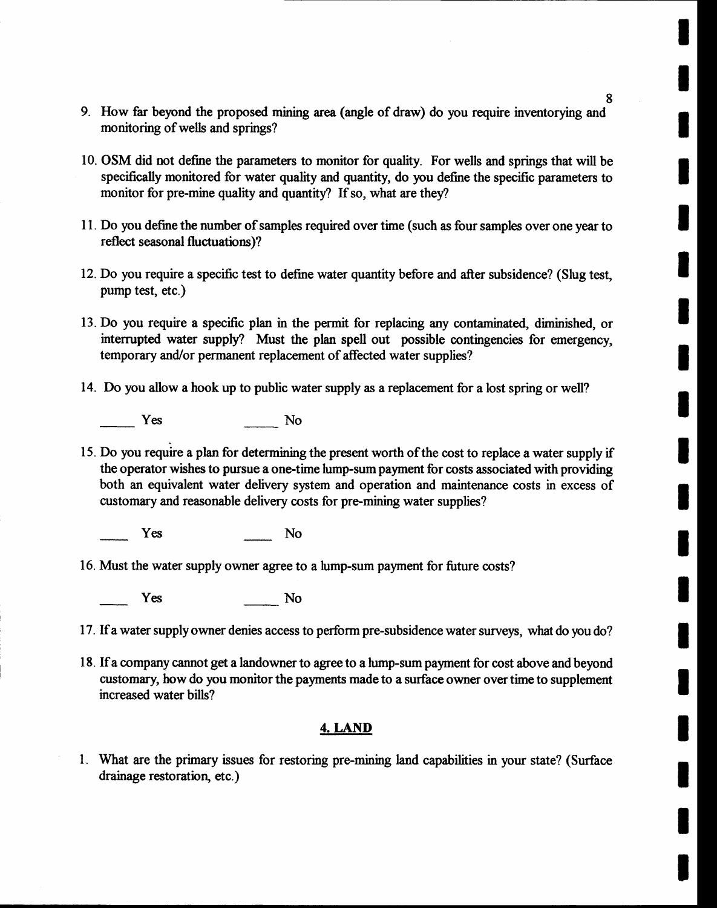- 9. How far beyond the proposed mining area (angle of draw) do you require inventorying and monitoring of wells and springs?
- 10. OSM did not define the parameters to monitor for quality. For wells and springs that will be specifically monitored for water quality and quantity, do you define the specific parameters to monitor for pre-mine quality and quantity? If so, what are they?
- I l. Do you define the number of samples required over time (such as four samples over one year to reflect seasonal fluctuations)?
- 12. Do you require a specific test to define water quantity before and after subsidence? (Slug test, pump test, etc.)
- 13. Do you require a specific plan in the permit for replacing any contaminated, diminished, or interrupted water supply? Must the plan spell out possible contingencies for emergency, temporary and/or permanent replacement of affected water supplies?
- 14. Do you allow a hook up to public water supply as a replacernent for a lost spring or well?

Yes No

15. Do you require a plan for determining the present worth of the cost to replace a water supply if the operator wishes to pursue a one-time lump-sum payment for costs associated wilh providing both an equivalent water delivery syetem and operation and maintenance costs in excess of customary and reasonable delivery costs for pre.mining water supplies?

Yes **No** 

16. Must the water supply owner agree to a lump-sum payment for future costs?

Yes No

- 17. If a water supply owner denies access to perform pre-subsidence water surveys, what do you do?
- 18. If a company cannot get alandowner to agree to a lump-sum payment for cost above and beyond customary, how do you monitor the payments made to a surface owner over time to supplement increased water bills?

#### 4. LAND

I, What are tle primary issues for restoring pre-mining land capabilities in your state? (Surface drainage restoration, etc.)

8

I

I

I

I

I

I

I

I

I

I

I

I

I

I

I

t

I

I

t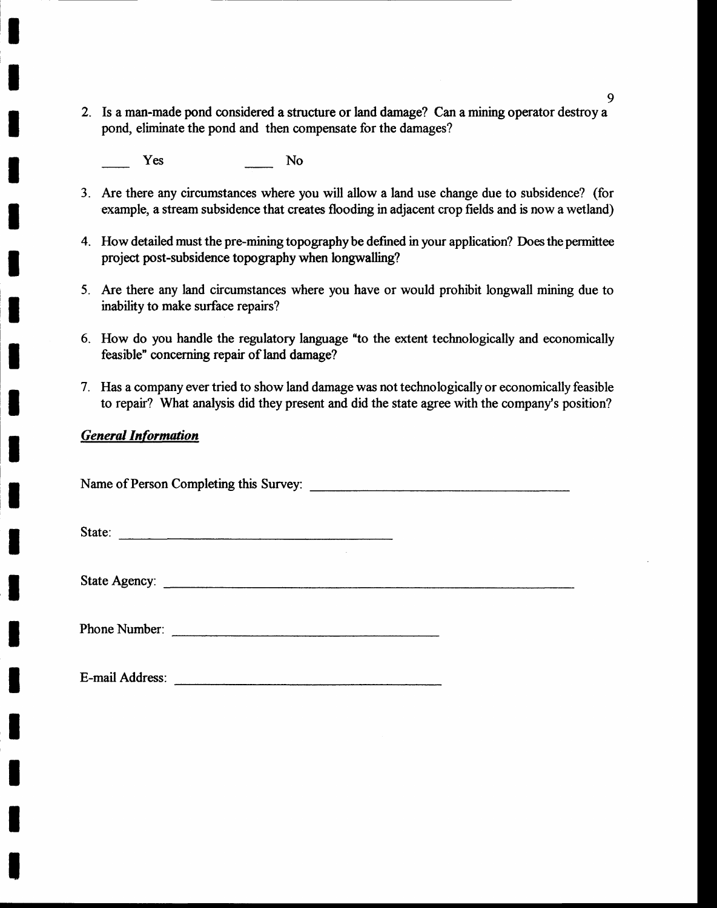2. Is a man-made pond considered a structure or land damage? Can a mining operator destroy a pond, eliminate the pond and then compensate for the damages?

Yes No

- 3. Are there any circumstances where you will allow a land use change due to subsidence? (for example, a stream subsidence that creates flooding in adjacent crop fields and is now a wetland)
- 4. How detailed must the pre-mining topography be defined in your application? Does the permittee project post-subsidence topography when longwalling?
- 5. Are there any land circumstances where you have or would prohibit longwall mining due to inability to make surface repairs?
- 6. How do you handle the regulatory language "to the extent technologically and economically feasible" concerning repair of land damage?
- 7. Has a company ever tried to show land damage was not technologically or economically feasible to repair? What analysis did they present and did the state agree with the company's position?

### **General Information**

I

I

I

I

I

I

I

I

l

I

I

I

I

I

I

I

I

I

I

Name of Person Completing this Survey:

State:

State Agancy:

Phone Number:

E-mail Address: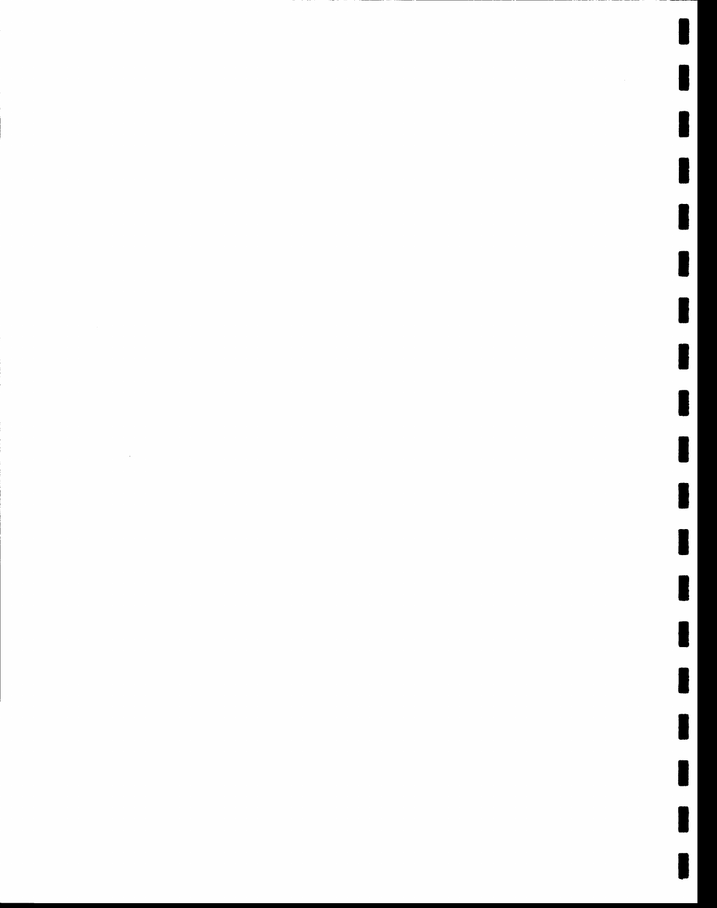Ĥ

B

l

B

I

l

B

I

I

H

I

I

۰

٠

 $\hat{\boldsymbol{\beta}}$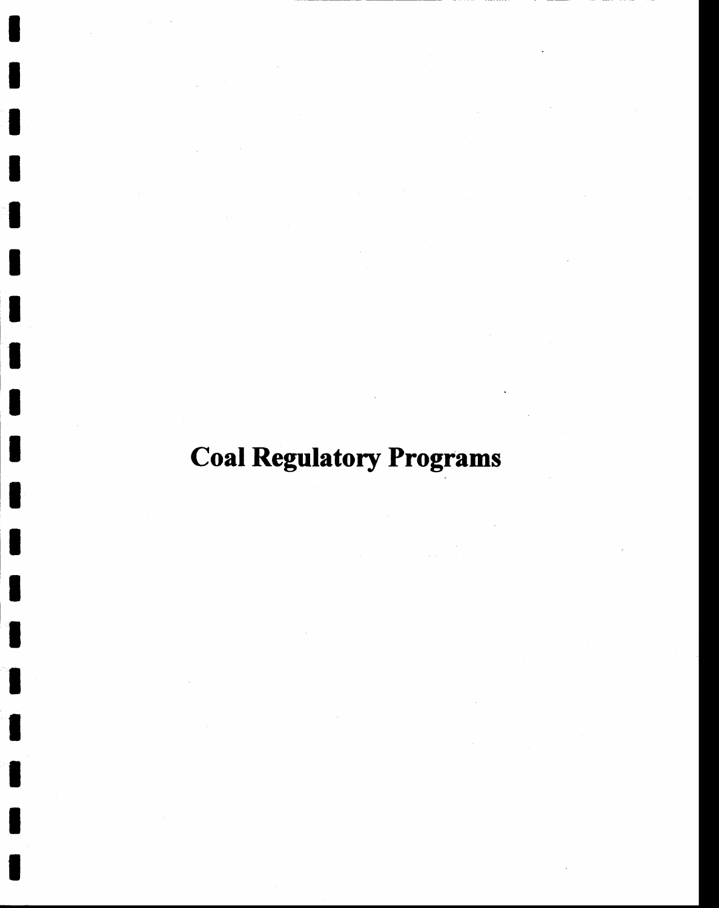# Coal Regulatory Programs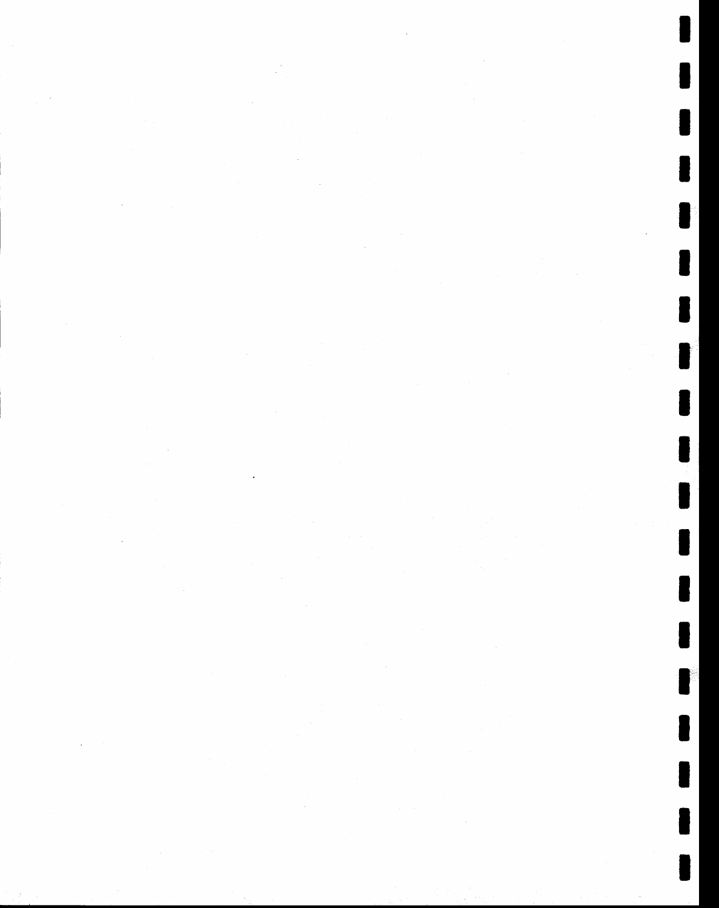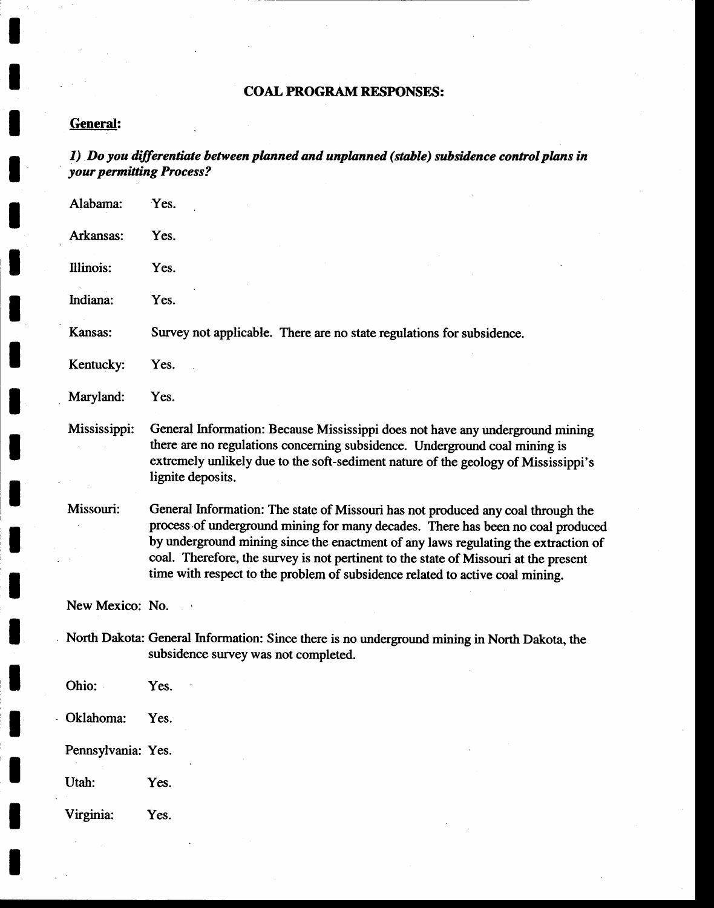# **COAL PROGRAM RESPONSES:**

# General:

1) Do you differentiate between planned and unplanned (stable) subsidence control plans in your permitting Process?

| Alabama:           | Yes.                                                                                                                                                                                                                                                                                                                                                                                                                               |
|--------------------|------------------------------------------------------------------------------------------------------------------------------------------------------------------------------------------------------------------------------------------------------------------------------------------------------------------------------------------------------------------------------------------------------------------------------------|
| Arkansas:          | Yes.                                                                                                                                                                                                                                                                                                                                                                                                                               |
| Illinois:          | Yes.                                                                                                                                                                                                                                                                                                                                                                                                                               |
| Indiana:           | Yes.                                                                                                                                                                                                                                                                                                                                                                                                                               |
| Kansas:            | Survey not applicable. There are no state regulations for subsidence.                                                                                                                                                                                                                                                                                                                                                              |
| Kentucky:          | Yes.                                                                                                                                                                                                                                                                                                                                                                                                                               |
| Maryland:          | Yes.                                                                                                                                                                                                                                                                                                                                                                                                                               |
| Mississippi:       | General Information: Because Mississippi does not have any underground mining<br>there are no regulations concerning subsidence. Underground coal mining is<br>extremely unlikely due to the soft-sediment nature of the geology of Mississippi's<br>lignite deposits.                                                                                                                                                             |
| Missouri:          | General Information: The state of Missouri has not produced any coal through the<br>process of underground mining for many decades. There has been no coal produced<br>by underground mining since the enactment of any laws regulating the extraction of<br>coal. Therefore, the survey is not pertinent to the state of Missouri at the present<br>time with respect to the problem of subsidence related to active coal mining. |
| New Mexico: No.    |                                                                                                                                                                                                                                                                                                                                                                                                                                    |
|                    | North Dakota: General Information: Since there is no underground mining in North Dakota, the<br>subsidence survey was not completed.                                                                                                                                                                                                                                                                                               |
| Ohio:              | Yes.                                                                                                                                                                                                                                                                                                                                                                                                                               |
| Oklahoma:          | Yes.                                                                                                                                                                                                                                                                                                                                                                                                                               |
| Pennsylvania: Yes. |                                                                                                                                                                                                                                                                                                                                                                                                                                    |
| Utah:              | Yes.                                                                                                                                                                                                                                                                                                                                                                                                                               |
| Virginia:          | Yes.                                                                                                                                                                                                                                                                                                                                                                                                                               |
|                    |                                                                                                                                                                                                                                                                                                                                                                                                                                    |